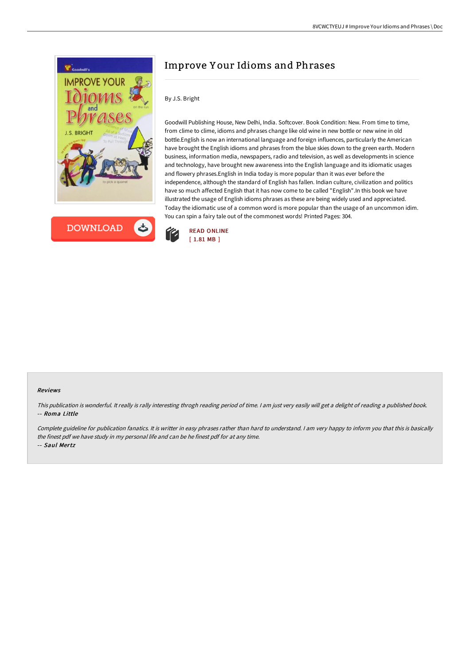



## Improve Y our Idioms and Phrases

## By J.S. Bright

Goodwill Publishing House, New Delhi, India. Softcover. Book Condition: New. From time to time, from clime to clime, idioms and phrases change like old wine in new bottle or new wine in old bottle.English is now an international language and foreign influences, particularly the American have brought the English idioms and phrases from the blue skies down to the green earth. Modern business, information media, newspapers, radio and television, as well as developments in science and technology, have brought new awareness into the English language and its idiomatic usages and flowery phrases.English in India today is more popular than it was ever before the independence, although the standard of English has fallen. Indian culture, civilization and politics have so much affected English that it has now come to be called "English".In this book we have illustrated the usage of English idioms phrases as these are being widely used and appreciated. Today the idiomatic use of a common word is more popular than the usage of an uncommon idim. You can spin a fairy tale out of the commonest words! Printed Pages: 304.



## Reviews

This publication is wonderful. It really is rally interesting throgh reading period of time. <sup>I</sup> am just very easily will get <sup>a</sup> delight of reading <sup>a</sup> published book. -- Roma Little

Complete guideline for publication fanatics. It is writter in easy phrases rather than hard to understand. <sup>I</sup> am very happy to inform you that this is basically the finest pdf we have study in my personal life and can be he finest pdf for at any time. -- Saul Mertz